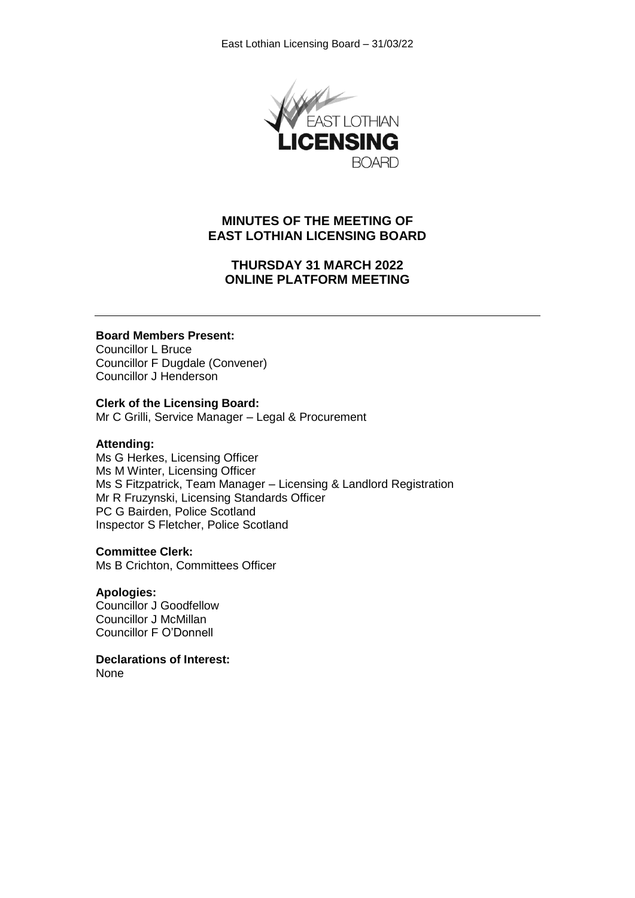

# **MINUTES OF THE MEETING OF EAST LOTHIAN LICENSING BOARD**

# **THURSDAY 31 MARCH 2022 ONLINE PLATFORM MEETING**

### **Board Members Present:**

Councillor L Bruce Councillor F Dugdale (Convener) Councillor J Henderson

### **Clerk of the Licensing Board:**

Mr C Grilli, Service Manager – Legal & Procurement

#### **Attending:**

Ms G Herkes, Licensing Officer Ms M Winter, Licensing Officer Ms S Fitzpatrick, Team Manager – Licensing & Landlord Registration Mr R Fruzynski, Licensing Standards Officer PC G Bairden, Police Scotland Inspector S Fletcher, Police Scotland

#### **Committee Clerk:**

Ms B Crichton, Committees Officer

## **Apologies:**

Councillor J Goodfellow Councillor J McMillan Councillor F O'Donnell

**Declarations of Interest:** None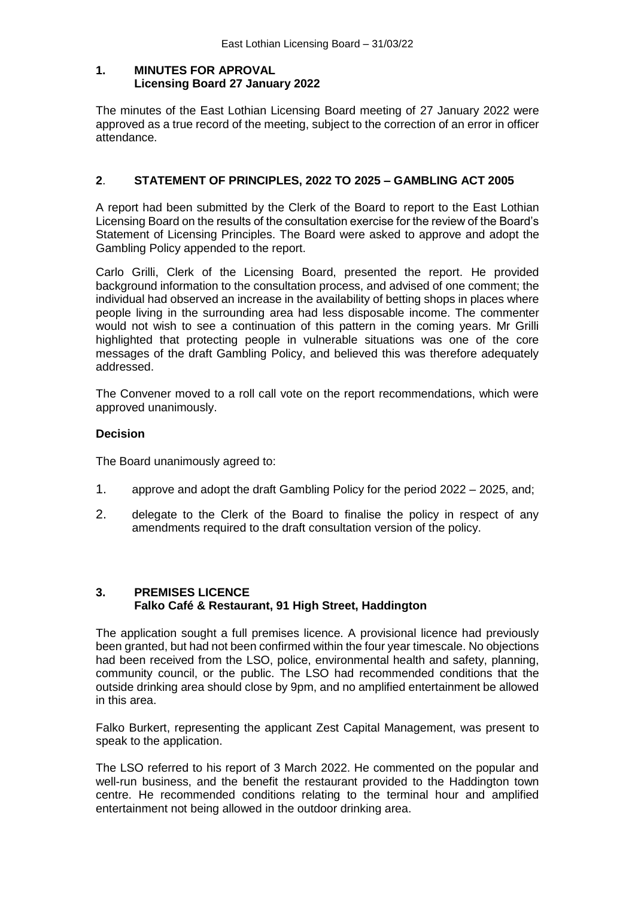## **1. MINUTES FOR APROVAL Licensing Board 27 January 2022**

The minutes of the East Lothian Licensing Board meeting of 27 January 2022 were approved as a true record of the meeting, subject to the correction of an error in officer attendance.

# **2**. **STATEMENT OF PRINCIPLES, 2022 TO 2025 – GAMBLING ACT 2005**

A report had been submitted by the Clerk of the Board to report to the East Lothian Licensing Board on the results of the consultation exercise for the review of the Board's Statement of Licensing Principles. The Board were asked to approve and adopt the Gambling Policy appended to the report.

Carlo Grilli, Clerk of the Licensing Board, presented the report. He provided background information to the consultation process, and advised of one comment; the individual had observed an increase in the availability of betting shops in places where people living in the surrounding area had less disposable income. The commenter would not wish to see a continuation of this pattern in the coming years. Mr Grilli highlighted that protecting people in vulnerable situations was one of the core messages of the draft Gambling Policy, and believed this was therefore adequately addressed.

The Convener moved to a roll call vote on the report recommendations, which were approved unanimously.

# **Decision**

The Board unanimously agreed to:

- 1. approve and adopt the draft Gambling Policy for the period 2022 2025, and;
- 2. delegate to the Clerk of the Board to finalise the policy in respect of any amendments required to the draft consultation version of the policy.

# **3. PREMISES LICENCE Falko Café & Restaurant, 91 High Street, Haddington**

The application sought a full premises licence. A provisional licence had previously been granted, but had not been confirmed within the four year timescale. No objections had been received from the LSO, police, environmental health and safety, planning, community council, or the public. The LSO had recommended conditions that the outside drinking area should close by 9pm, and no amplified entertainment be allowed in this area.

Falko Burkert, representing the applicant Zest Capital Management, was present to speak to the application.

The LSO referred to his report of 3 March 2022. He commented on the popular and well-run business, and the benefit the restaurant provided to the Haddington town centre. He recommended conditions relating to the terminal hour and amplified entertainment not being allowed in the outdoor drinking area.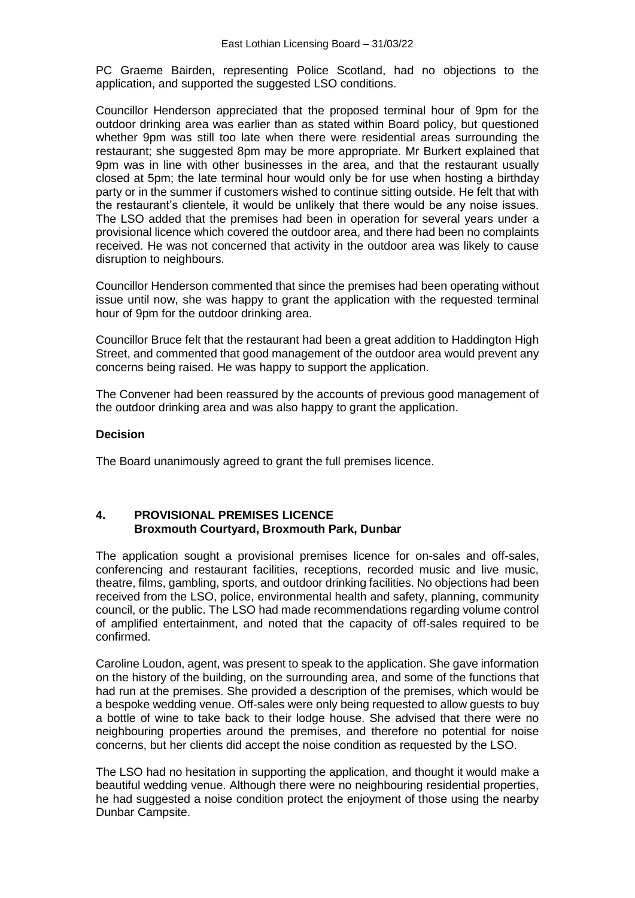PC Graeme Bairden, representing Police Scotland, had no objections to the application, and supported the suggested LSO conditions.

Councillor Henderson appreciated that the proposed terminal hour of 9pm for the outdoor drinking area was earlier than as stated within Board policy, but questioned whether 9pm was still too late when there were residential areas surrounding the restaurant; she suggested 8pm may be more appropriate. Mr Burkert explained that 9pm was in line with other businesses in the area, and that the restaurant usually closed at 5pm; the late terminal hour would only be for use when hosting a birthday party or in the summer if customers wished to continue sitting outside. He felt that with the restaurant's clientele, it would be unlikely that there would be any noise issues. The LSO added that the premises had been in operation for several years under a provisional licence which covered the outdoor area, and there had been no complaints received. He was not concerned that activity in the outdoor area was likely to cause disruption to neighbours.

Councillor Henderson commented that since the premises had been operating without issue until now, she was happy to grant the application with the requested terminal hour of 9pm for the outdoor drinking area.

Councillor Bruce felt that the restaurant had been a great addition to Haddington High Street, and commented that good management of the outdoor area would prevent any concerns being raised. He was happy to support the application.

The Convener had been reassured by the accounts of previous good management of the outdoor drinking area and was also happy to grant the application.

#### **Decision**

The Board unanimously agreed to grant the full premises licence.

#### **4. PROVISIONAL PREMISES LICENCE Broxmouth Courtyard, Broxmouth Park, Dunbar**

The application sought a provisional premises licence for on-sales and off-sales, conferencing and restaurant facilities, receptions, recorded music and live music, theatre, films, gambling, sports, and outdoor drinking facilities. No objections had been received from the LSO, police, environmental health and safety, planning, community council, or the public. The LSO had made recommendations regarding volume control of amplified entertainment, and noted that the capacity of off-sales required to be confirmed.

Caroline Loudon, agent, was present to speak to the application. She gave information on the history of the building, on the surrounding area, and some of the functions that had run at the premises. She provided a description of the premises, which would be a bespoke wedding venue. Off-sales were only being requested to allow guests to buy a bottle of wine to take back to their lodge house. She advised that there were no neighbouring properties around the premises, and therefore no potential for noise concerns, but her clients did accept the noise condition as requested by the LSO.

The LSO had no hesitation in supporting the application, and thought it would make a beautiful wedding venue. Although there were no neighbouring residential properties, he had suggested a noise condition protect the enjoyment of those using the nearby Dunbar Campsite.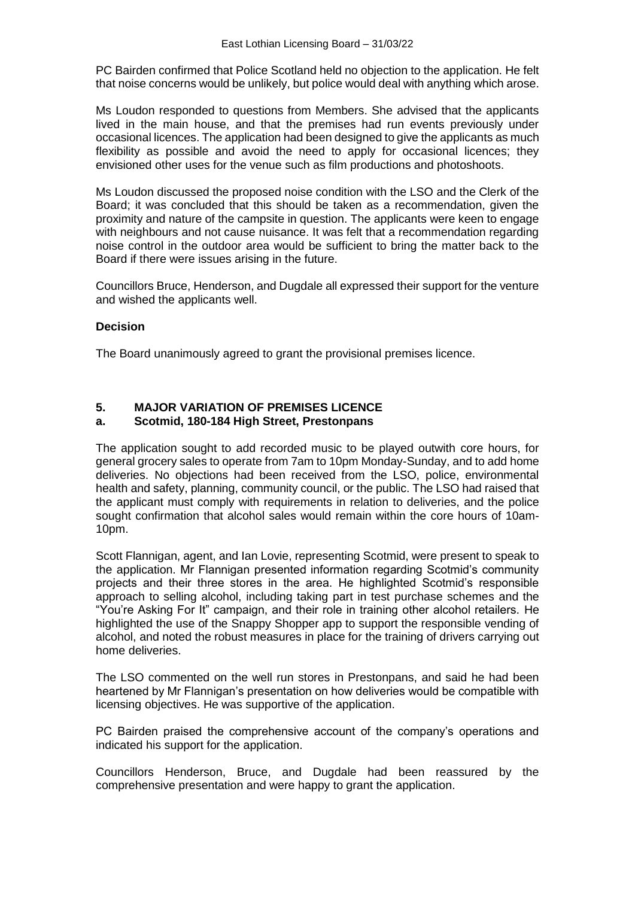PC Bairden confirmed that Police Scotland held no objection to the application. He felt that noise concerns would be unlikely, but police would deal with anything which arose.

Ms Loudon responded to questions from Members. She advised that the applicants lived in the main house, and that the premises had run events previously under occasional licences. The application had been designed to give the applicants as much flexibility as possible and avoid the need to apply for occasional licences; they envisioned other uses for the venue such as film productions and photoshoots.

Ms Loudon discussed the proposed noise condition with the LSO and the Clerk of the Board; it was concluded that this should be taken as a recommendation, given the proximity and nature of the campsite in question. The applicants were keen to engage with neighbours and not cause nuisance. It was felt that a recommendation regarding noise control in the outdoor area would be sufficient to bring the matter back to the Board if there were issues arising in the future.

Councillors Bruce, Henderson, and Dugdale all expressed their support for the venture and wished the applicants well.

## **Decision**

The Board unanimously agreed to grant the provisional premises licence.

# **5. MAJOR VARIATION OF PREMISES LICENCE**

### **a. Scotmid, 180-184 High Street, Prestonpans**

The application sought to add recorded music to be played outwith core hours, for general grocery sales to operate from 7am to 10pm Monday-Sunday, and to add home deliveries. No objections had been received from the LSO, police, environmental health and safety, planning, community council, or the public. The LSO had raised that the applicant must comply with requirements in relation to deliveries, and the police sought confirmation that alcohol sales would remain within the core hours of 10am-10pm.

Scott Flannigan, agent, and Ian Lovie, representing Scotmid, were present to speak to the application. Mr Flannigan presented information regarding Scotmid's community projects and their three stores in the area. He highlighted Scotmid's responsible approach to selling alcohol, including taking part in test purchase schemes and the "You're Asking For It" campaign, and their role in training other alcohol retailers. He highlighted the use of the Snappy Shopper app to support the responsible vending of alcohol, and noted the robust measures in place for the training of drivers carrying out home deliveries.

The LSO commented on the well run stores in Prestonpans, and said he had been heartened by Mr Flannigan's presentation on how deliveries would be compatible with licensing objectives. He was supportive of the application.

PC Bairden praised the comprehensive account of the company's operations and indicated his support for the application.

Councillors Henderson, Bruce, and Dugdale had been reassured by the comprehensive presentation and were happy to grant the application.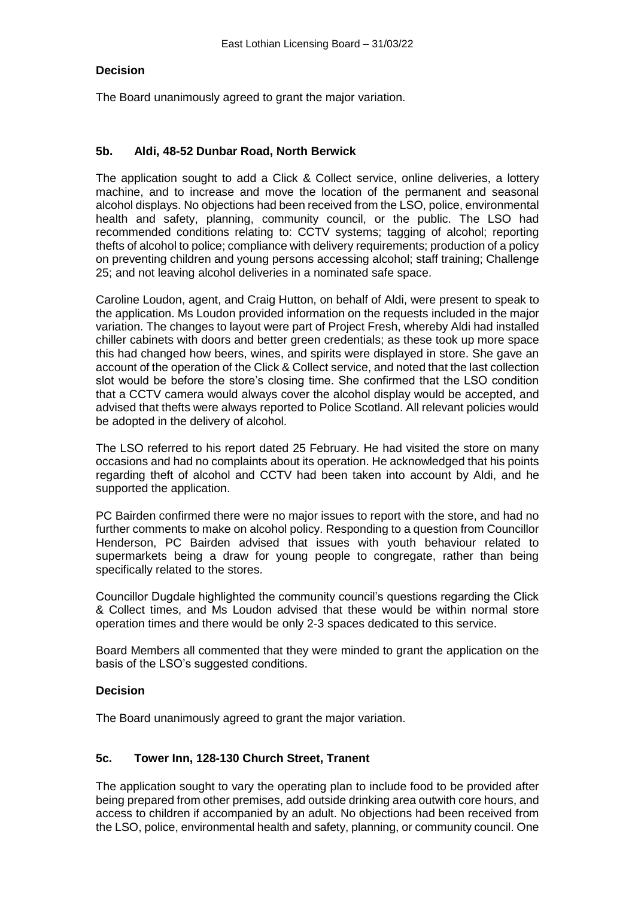### **Decision**

The Board unanimously agreed to grant the major variation.

### **5b. Aldi, 48-52 Dunbar Road, North Berwick**

The application sought to add a Click & Collect service, online deliveries, a lottery machine, and to increase and move the location of the permanent and seasonal alcohol displays. No objections had been received from the LSO, police, environmental health and safety, planning, community council, or the public. The LSO had recommended conditions relating to: CCTV systems; tagging of alcohol; reporting thefts of alcohol to police; compliance with delivery requirements; production of a policy on preventing children and young persons accessing alcohol; staff training; Challenge 25; and not leaving alcohol deliveries in a nominated safe space.

Caroline Loudon, agent, and Craig Hutton, on behalf of Aldi, were present to speak to the application. Ms Loudon provided information on the requests included in the major variation. The changes to layout were part of Project Fresh, whereby Aldi had installed chiller cabinets with doors and better green credentials; as these took up more space this had changed how beers, wines, and spirits were displayed in store. She gave an account of the operation of the Click & Collect service, and noted that the last collection slot would be before the store's closing time. She confirmed that the LSO condition that a CCTV camera would always cover the alcohol display would be accepted, and advised that thefts were always reported to Police Scotland. All relevant policies would be adopted in the delivery of alcohol.

The LSO referred to his report dated 25 February. He had visited the store on many occasions and had no complaints about its operation. He acknowledged that his points regarding theft of alcohol and CCTV had been taken into account by Aldi, and he supported the application.

PC Bairden confirmed there were no major issues to report with the store, and had no further comments to make on alcohol policy. Responding to a question from Councillor Henderson, PC Bairden advised that issues with youth behaviour related to supermarkets being a draw for young people to congregate, rather than being specifically related to the stores.

Councillor Dugdale highlighted the community council's questions regarding the Click & Collect times, and Ms Loudon advised that these would be within normal store operation times and there would be only 2-3 spaces dedicated to this service.

Board Members all commented that they were minded to grant the application on the basis of the LSO's suggested conditions.

#### **Decision**

The Board unanimously agreed to grant the major variation.

## **5c. Tower Inn, 128-130 Church Street, Tranent**

The application sought to vary the operating plan to include food to be provided after being prepared from other premises, add outside drinking area outwith core hours, and access to children if accompanied by an adult. No objections had been received from the LSO, police, environmental health and safety, planning, or community council. One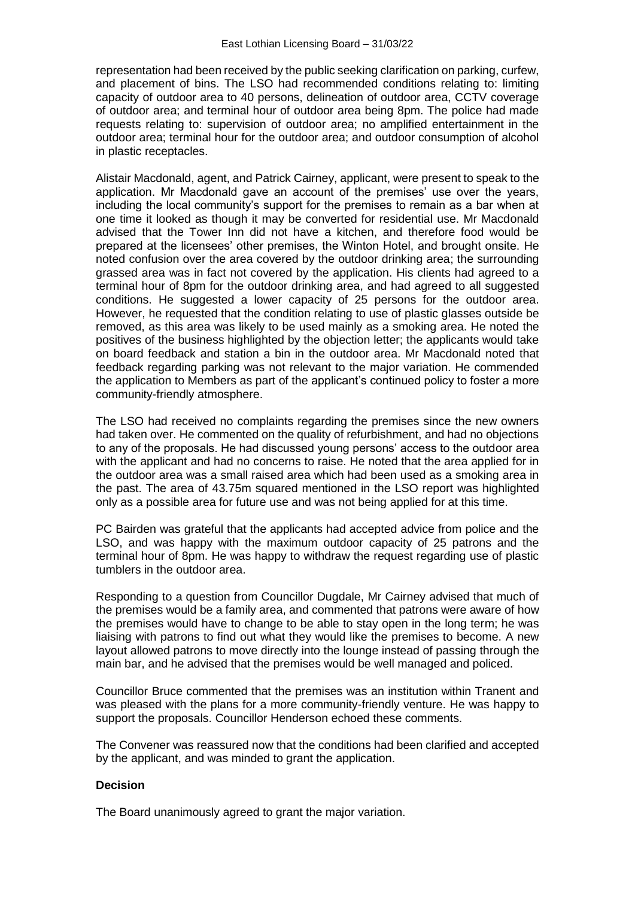representation had been received by the public seeking clarification on parking, curfew, and placement of bins. The LSO had recommended conditions relating to: limiting capacity of outdoor area to 40 persons, delineation of outdoor area, CCTV coverage of outdoor area; and terminal hour of outdoor area being 8pm. The police had made requests relating to: supervision of outdoor area; no amplified entertainment in the outdoor area; terminal hour for the outdoor area; and outdoor consumption of alcohol in plastic receptacles.

Alistair Macdonald, agent, and Patrick Cairney, applicant, were present to speak to the application. Mr Macdonald gave an account of the premises' use over the years, including the local community's support for the premises to remain as a bar when at one time it looked as though it may be converted for residential use. Mr Macdonald advised that the Tower Inn did not have a kitchen, and therefore food would be prepared at the licensees' other premises, the Winton Hotel, and brought onsite. He noted confusion over the area covered by the outdoor drinking area; the surrounding grassed area was in fact not covered by the application. His clients had agreed to a terminal hour of 8pm for the outdoor drinking area, and had agreed to all suggested conditions. He suggested a lower capacity of 25 persons for the outdoor area. However, he requested that the condition relating to use of plastic glasses outside be removed, as this area was likely to be used mainly as a smoking area. He noted the positives of the business highlighted by the objection letter; the applicants would take on board feedback and station a bin in the outdoor area. Mr Macdonald noted that feedback regarding parking was not relevant to the major variation. He commended the application to Members as part of the applicant's continued policy to foster a more community-friendly atmosphere.

The LSO had received no complaints regarding the premises since the new owners had taken over. He commented on the quality of refurbishment, and had no objections to any of the proposals. He had discussed young persons' access to the outdoor area with the applicant and had no concerns to raise. He noted that the area applied for in the outdoor area was a small raised area which had been used as a smoking area in the past. The area of 43.75m squared mentioned in the LSO report was highlighted only as a possible area for future use and was not being applied for at this time.

PC Bairden was grateful that the applicants had accepted advice from police and the LSO, and was happy with the maximum outdoor capacity of 25 patrons and the terminal hour of 8pm. He was happy to withdraw the request regarding use of plastic tumblers in the outdoor area.

Responding to a question from Councillor Dugdale, Mr Cairney advised that much of the premises would be a family area, and commented that patrons were aware of how the premises would have to change to be able to stay open in the long term; he was liaising with patrons to find out what they would like the premises to become. A new layout allowed patrons to move directly into the lounge instead of passing through the main bar, and he advised that the premises would be well managed and policed.

Councillor Bruce commented that the premises was an institution within Tranent and was pleased with the plans for a more community-friendly venture. He was happy to support the proposals. Councillor Henderson echoed these comments.

The Convener was reassured now that the conditions had been clarified and accepted by the applicant, and was minded to grant the application.

#### **Decision**

The Board unanimously agreed to grant the major variation.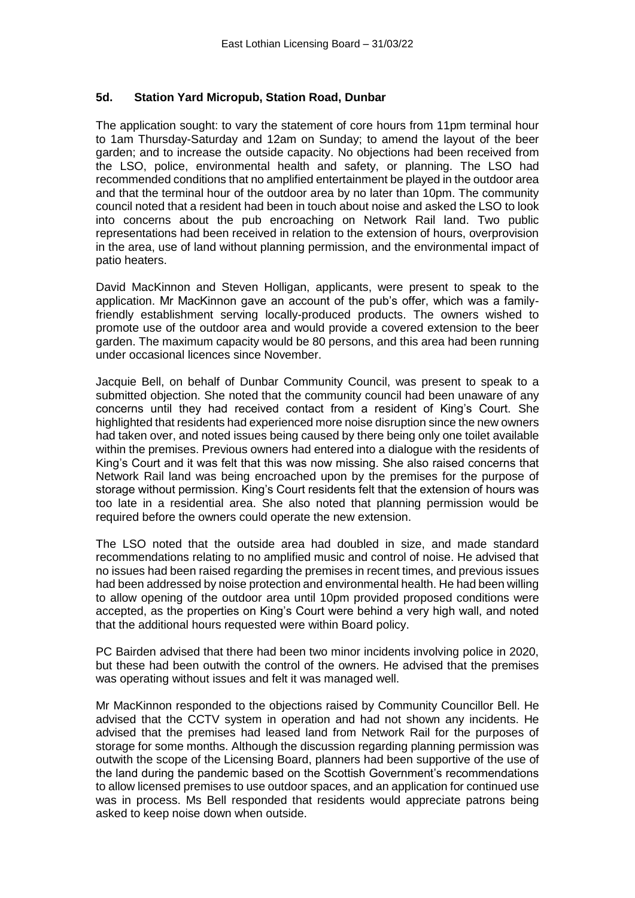## **5d. Station Yard Micropub, Station Road, Dunbar**

The application sought: to vary the statement of core hours from 11pm terminal hour to 1am Thursday-Saturday and 12am on Sunday; to amend the layout of the beer garden; and to increase the outside capacity. No objections had been received from the LSO, police, environmental health and safety, or planning. The LSO had recommended conditions that no amplified entertainment be played in the outdoor area and that the terminal hour of the outdoor area by no later than 10pm. The community council noted that a resident had been in touch about noise and asked the LSO to look into concerns about the pub encroaching on Network Rail land. Two public representations had been received in relation to the extension of hours, overprovision in the area, use of land without planning permission, and the environmental impact of patio heaters.

David MacKinnon and Steven Holligan, applicants, were present to speak to the application. Mr MacKinnon gave an account of the pub's offer, which was a familyfriendly establishment serving locally-produced products. The owners wished to promote use of the outdoor area and would provide a covered extension to the beer garden. The maximum capacity would be 80 persons, and this area had been running under occasional licences since November.

Jacquie Bell, on behalf of Dunbar Community Council, was present to speak to a submitted objection. She noted that the community council had been unaware of any concerns until they had received contact from a resident of King's Court. She highlighted that residents had experienced more noise disruption since the new owners had taken over, and noted issues being caused by there being only one toilet available within the premises. Previous owners had entered into a dialogue with the residents of King's Court and it was felt that this was now missing. She also raised concerns that Network Rail land was being encroached upon by the premises for the purpose of storage without permission. King's Court residents felt that the extension of hours was too late in a residential area. She also noted that planning permission would be required before the owners could operate the new extension.

The LSO noted that the outside area had doubled in size, and made standard recommendations relating to no amplified music and control of noise. He advised that no issues had been raised regarding the premises in recent times, and previous issues had been addressed by noise protection and environmental health. He had been willing to allow opening of the outdoor area until 10pm provided proposed conditions were accepted, as the properties on King's Court were behind a very high wall, and noted that the additional hours requested were within Board policy.

PC Bairden advised that there had been two minor incidents involving police in 2020, but these had been outwith the control of the owners. He advised that the premises was operating without issues and felt it was managed well.

Mr MacKinnon responded to the objections raised by Community Councillor Bell. He advised that the CCTV system in operation and had not shown any incidents. He advised that the premises had leased land from Network Rail for the purposes of storage for some months. Although the discussion regarding planning permission was outwith the scope of the Licensing Board, planners had been supportive of the use of the land during the pandemic based on the Scottish Government's recommendations to allow licensed premises to use outdoor spaces, and an application for continued use was in process. Ms Bell responded that residents would appreciate patrons being asked to keep noise down when outside.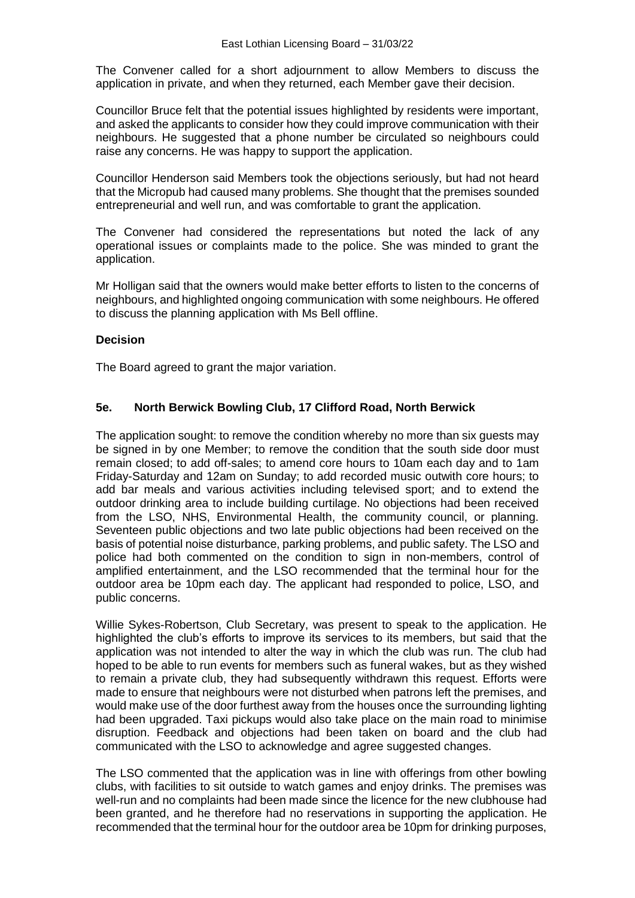The Convener called for a short adjournment to allow Members to discuss the application in private, and when they returned, each Member gave their decision.

Councillor Bruce felt that the potential issues highlighted by residents were important, and asked the applicants to consider how they could improve communication with their neighbours. He suggested that a phone number be circulated so neighbours could raise any concerns. He was happy to support the application.

Councillor Henderson said Members took the objections seriously, but had not heard that the Micropub had caused many problems. She thought that the premises sounded entrepreneurial and well run, and was comfortable to grant the application.

The Convener had considered the representations but noted the lack of any operational issues or complaints made to the police. She was minded to grant the application.

Mr Holligan said that the owners would make better efforts to listen to the concerns of neighbours, and highlighted ongoing communication with some neighbours. He offered to discuss the planning application with Ms Bell offline.

### **Decision**

The Board agreed to grant the major variation.

## **5e. North Berwick Bowling Club, 17 Clifford Road, North Berwick**

The application sought: to remove the condition whereby no more than six guests may be signed in by one Member; to remove the condition that the south side door must remain closed; to add off-sales; to amend core hours to 10am each day and to 1am Friday-Saturday and 12am on Sunday; to add recorded music outwith core hours; to add bar meals and various activities including televised sport; and to extend the outdoor drinking area to include building curtilage. No objections had been received from the LSO, NHS, Environmental Health, the community council, or planning. Seventeen public objections and two late public objections had been received on the basis of potential noise disturbance, parking problems, and public safety. The LSO and police had both commented on the condition to sign in non-members, control of amplified entertainment, and the LSO recommended that the terminal hour for the outdoor area be 10pm each day. The applicant had responded to police, LSO, and public concerns.

Willie Sykes-Robertson, Club Secretary, was present to speak to the application. He highlighted the club's efforts to improve its services to its members, but said that the application was not intended to alter the way in which the club was run. The club had hoped to be able to run events for members such as funeral wakes, but as they wished to remain a private club, they had subsequently withdrawn this request. Efforts were made to ensure that neighbours were not disturbed when patrons left the premises, and would make use of the door furthest away from the houses once the surrounding lighting had been upgraded. Taxi pickups would also take place on the main road to minimise disruption. Feedback and objections had been taken on board and the club had communicated with the LSO to acknowledge and agree suggested changes.

The LSO commented that the application was in line with offerings from other bowling clubs, with facilities to sit outside to watch games and enjoy drinks. The premises was well-run and no complaints had been made since the licence for the new clubhouse had been granted, and he therefore had no reservations in supporting the application. He recommended that the terminal hour for the outdoor area be 10pm for drinking purposes,